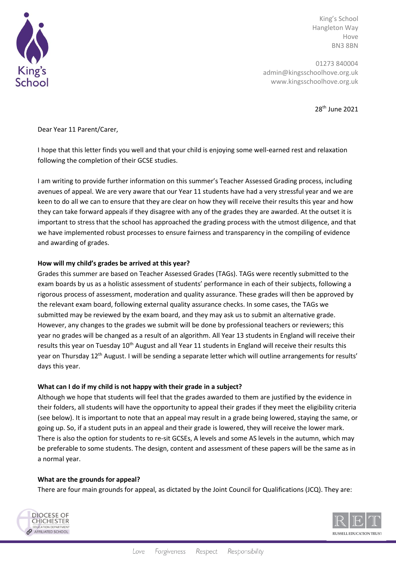

King's School Hangleton Way Hove BN3 8BN

01273 840004 admin@kingsschoolhove.org.uk www.kingsschoolhove.org.uk

28th June 2021

Dear Year 11 Parent/Carer,

I hope that this letter finds you well and that your child is enjoying some well-earned rest and relaxation following the completion of their GCSE studies.

I am writing to provide further information on this summer's Teacher Assessed Grading process, including avenues of appeal. We are very aware that our Year 11 students have had a very stressful year and we are keen to do all we can to ensure that they are clear on how they will receive their results this year and how they can take forward appeals if they disagree with any of the grades they are awarded. At the outset it is important to stress that the school has approached the grading process with the utmost diligence, and that we have implemented robust processes to ensure fairness and transparency in the compiling of evidence and awarding of grades.

### **How will my child's grades be arrived at this year?**

Grades this summer are based on Teacher Assessed Grades (TAGs). TAGs were recently submitted to the exam boards by us as a holistic assessment of students' performance in each of their subjects, following a rigorous process of assessment, moderation and quality assurance. These grades will then be approved by the relevant exam board, following external quality assurance checks. In some cases, the TAGs we submitted may be reviewed by the exam board, and they may ask us to submit an alternative grade. However, any changes to the grades we submit will be done by professional teachers or reviewers; this year no grades will be changed as a result of an algorithm. All Year 13 students in England will receive their results this year on Tuesday 10<sup>th</sup> August and all Year 11 students in England will receive their results this year on Thursday 12<sup>th</sup> August. I will be sending a separate letter which will outline arrangements for results' days this year.

#### **What can I do if my child is not happy with their grade in a subject?**

Although we hope that students will feel that the grades awarded to them are justified by the evidence in their folders, all students will have the opportunity to appeal their grades if they meet the eligibility criteria (see below). It is important to note that an appeal may result in a grade being lowered, staying the same, or going up. So, if a student puts in an appeal and their grade is lowered, they will receive the lower mark. There is also the option for students to re-sit GCSEs, A levels and some AS levels in the autumn, which may be preferable to some students. The design, content and assessment of these papers will be the same as in a normal year.

#### **What are the grounds for appeal?**

There are four main grounds for appeal, as dictated by the Joint Council for Qualifications (JCQ). They are:



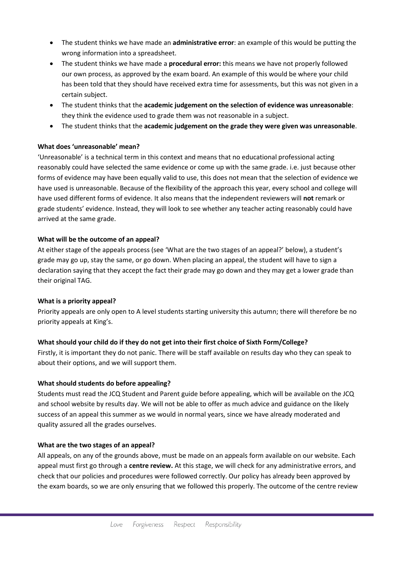- The student thinks we have made an **administrative error**: an example of this would be putting the wrong information into a spreadsheet.
- The student thinks we have made a **procedural error:** this means we have not properly followed our own process, as approved by the exam board. An example of this would be where your child has been told that they should have received extra time for assessments, but this was not given in a certain subject.
- The student thinks that the **academic judgement on the selection of evidence was unreasonable**: they think the evidence used to grade them was not reasonable in a subject.
- The student thinks that the **academic judgement on the grade they were given was unreasonable**.

# **What does 'unreasonable' mean?**

'Unreasonable' is a technical term in this context and means that no educational professional acting reasonably could have selected the same evidence or come up with the same grade. i.e. just because other forms of evidence may have been equally valid to use, this does not mean that the selection of evidence we have used is unreasonable. Because of the flexibility of the approach this year, every school and college will have used different forms of evidence. It also means that the independent reviewers will **not** remark or grade students' evidence. Instead, they will look to see whether any teacher acting reasonably could have arrived at the same grade.

# **What will be the outcome of an appeal?**

At either stage of the appeals process (see 'What are the two stages of an appeal?' below), a student's grade may go up, stay the same, or go down. When placing an appeal, the student will have to sign a declaration saying that they accept the fact their grade may go down and they may get a lower grade than their original TAG.

### **What is a priority appeal?**

Priority appeals are only open to A level students starting university this autumn; there will therefore be no priority appeals at King's.

# **What should your child do if they do not get into their first choice of Sixth Form/College?**

Firstly, it is important they do not panic. There will be staff available on results day who they can speak to about their options, and we will support them.

### **What should students do before appealing?**

Students must read the JCQ Student and Parent guide before appealing, which will be available on the JCQ and school website by results day. We will not be able to offer as much advice and guidance on the likely success of an appeal this summer as we would in normal years, since we have already moderated and quality assured all the grades ourselves.

### **What are the two stages of an appeal?**

All appeals, on any of the grounds above, must be made on an appeals form available on our website. Each appeal must first go through a **centre review.** At this stage, we will check for any administrative errors, and check that our policies and procedures were followed correctly. Our policy has already been approved by the exam boards, so we are only ensuring that we followed this properly. The outcome of the centre review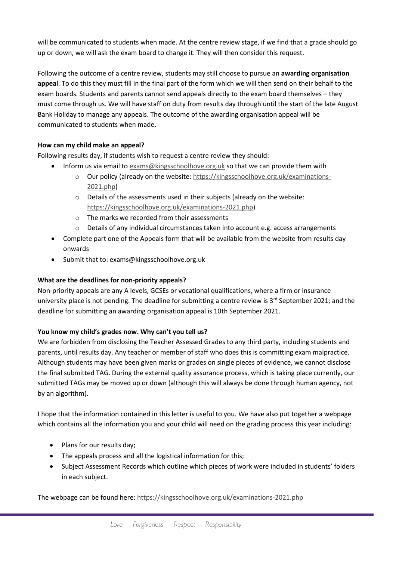will be communicated to students when made. At the centre review stage, if we find that a grade should go up or down, we will ask the exam board to change it. They will then consider this request.

Following the outcome of a centre review, students may still choose to pursue an **awarding organisation appeal**. To do this they must fill in the final part of the form which we will then send on their behalf to the exam boards. Students and parents cannot send appeals directly to the exam board themselves – they must come through us. We will have staff on duty from results day through until the start of the late August Bank Holiday to manage any appeals. The outcome of the awarding organisation appeal will be communicated to students when made.

# **How can my child make an appeal?**

Following results day, if students wish to request a centre review they should:

- Inform us via email t[o exams@kingsschoolhove.org.uk](mailto:exams@kingsschoolhove.org.uk) so that we can provide them with
	- o Our policy (already on the website: [https://kingsschoolhove.org.uk/examinations-](https://kingsschoolhove.org.uk/examinations-2021.php)[2021.php\)](https://kingsschoolhove.org.uk/examinations-2021.php)
	- o Details of the assessments used in their subjects (already on the website: [https://kingsschoolhove.org.uk/examinations-2021.php\)](https://kingsschoolhove.org.uk/examinations-2021.php)
	- o The marks we recorded from their assessments
	- $\circ$  Details of any individual circumstances taken into account e.g. access arrangements
- Complete part one of the Appeals form that will be available from the website from results day onwards
- Submit that to: exams@kingsschoolhove.org.uk

# **What are the deadlines for non-priority appeals?**

Non-priority appeals are any A levels, GCSEs or vocational qualifications, where a firm or insurance university place is not pending. The deadline for submitting a centre review is 3<sup>rd</sup> September 2021; and the deadline for submitting an awarding organisation appeal is 10th September 2021.

### **You know my child's grades now. Why can't you tell us?**

We are forbidden from disclosing the Teacher Assessed Grades to any third party, including students and parents, until results day. Any teacher or member of staff who does this is committing exam malpractice. Although students may have been given marks or grades on single pieces of evidence, we cannot disclose the final submitted TAG. During the external quality assurance process, which is taking place currently, our submitted TAGs may be moved up or down (although this will always be done through human agency, not by an algorithm).

I hope that the information contained in this letter is useful to you. We have also put together a webpage which contains all the information you and your child will need on the grading process this year including:

- Plans for our results day;
- The appeals process and all the logistical information for this;
- Subject Assessment Records which outline which pieces of work were included in students' folders in each subject.

The webpage can be found here:<https://kingsschoolhove.org.uk/examinations-2021.php>